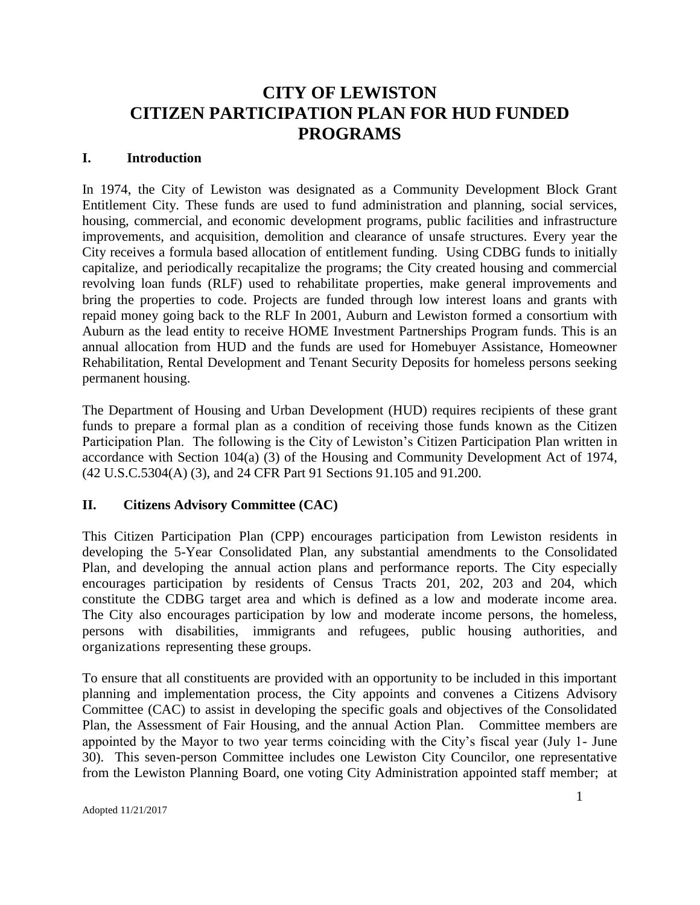#### **I. Introduction**

In 1974, the City of Lewiston was designated as a Community Development Block Grant Entitlement City. These funds are used to fund administration and planning, social services, housing, commercial, and economic development programs, public facilities and infrastructure improvements, and acquisition, demolition and clearance of unsafe structures. Every year the City receives a formula based allocation of entitlement funding. Using CDBG funds to initially capitalize, and periodically recapitalize the programs; the City created housing and commercial revolving loan funds (RLF) used to rehabilitate properties, make general improvements and bring the properties to code. Projects are funded through low interest loans and grants with repaid money going back to the RLF In 2001, Auburn and Lewiston formed a consortium with Auburn as the lead entity to receive HOME Investment Partnerships Program funds. This is an annual allocation from HUD and the funds are used for Homebuyer Assistance, Homeowner Rehabilitation, Rental Development and Tenant Security Deposits for homeless persons seeking permanent housing.

The Department of Housing and Urban Development (HUD) requires recipients of these grant funds to prepare a formal plan as a condition of receiving those funds known as the Citizen Participation Plan. The following is the City of Lewiston's Citizen Participation Plan written in accordance with Section 104(a) (3) of the Housing and Community Development Act of 1974, (42 U.S.C.5304(A) (3), and 24 CFR Part 91 Sections 91.105 and 91.200.

#### **II. Citizens Advisory Committee (CAC)**

This Citizen Participation Plan (CPP) encourages participation from Lewiston residents in developing the 5-Year Consolidated Plan, any substantial amendments to the Consolidated Plan, and developing the annual action plans and performance reports. The City especially encourages participation by residents of Census Tracts 201, 202, 203 and 204, which constitute the CDBG target area and which is defined as a low and moderate income area. The City also encourages participation by low and moderate income persons, the homeless, persons with disabilities, immigrants and refugees, public housing authorities, and organizations representing these groups.

To ensure that all constituents are provided with an opportunity to be included in this important planning and implementation process, the City appoints and convenes a Citizens Advisory Committee (CAC) to assist in developing the specific goals and objectives of the Consolidated Plan, the Assessment of Fair Housing, and the annual Action Plan. Committee members are appointed by the Mayor to two year terms coinciding with the City's fiscal year (July 1- June 30). This seven-person Committee includes one Lewiston City Councilor, one representative from the Lewiston Planning Board, one voting City Administration appointed staff member; at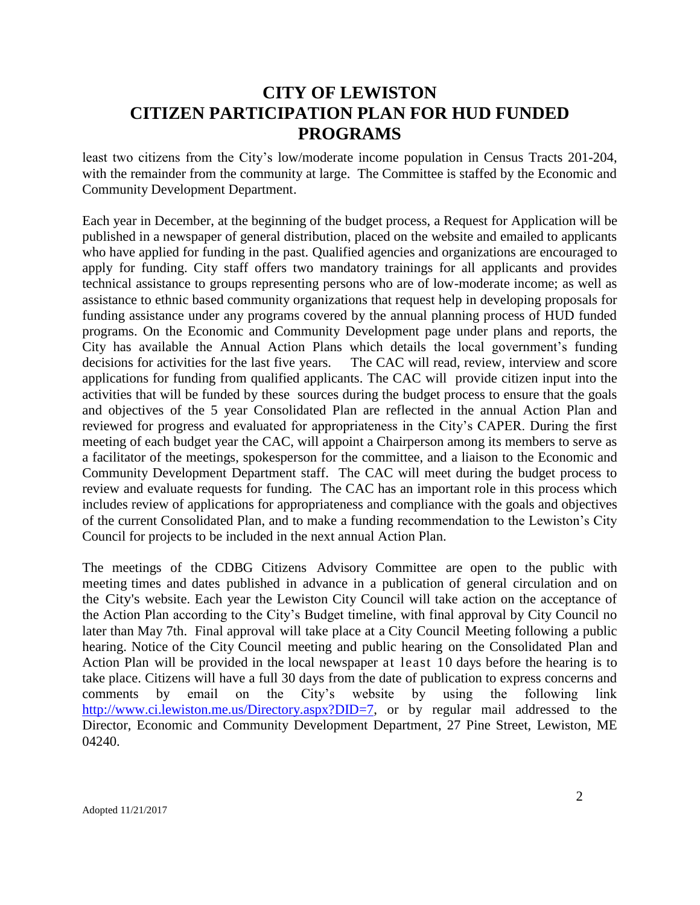least two citizens from the City's low/moderate income population in Census Tracts 201-204, with the remainder from the community at large. The Committee is staffed by the Economic and Community Development Department.

Each year in December, at the beginning of the budget process, a Request for Application will be published in a newspaper of general distribution, placed on the website and emailed to applicants who have applied for funding in the past. Qualified agencies and organizations are encouraged to apply for funding. City staff offers two mandatory trainings for all applicants and provides technical assistance to groups representing persons who are of low-moderate income; as well as assistance to ethnic based community organizations that request help in developing proposals for funding assistance under any programs covered by the annual planning process of HUD funded programs. On the Economic and Community Development page under plans and reports, the City has available the Annual Action Plans which details the local government's funding decisions for activities for the last five years. The CAC will read, review, interview and score applications for funding from qualified applicants. The CAC will provide citizen input into the activities that will be funded by these sources during the budget process to ensure that the goals and objectives of the 5 year Consolidated Plan are reflected in the annual Action Plan and reviewed for progress and evaluated for appropriateness in the City's CAPER. During the first meeting of each budget year the CAC, will appoint a Chairperson among its members to serve as a facilitator of the meetings, spokesperson for the committee, and a liaison to the Economic and Community Development Department staff. The CAC will meet during the budget process to review and evaluate requests for funding. The CAC has an important role in this process which includes review of applications for appropriateness and compliance with the goals and objectives of the current Consolidated Plan, and to make a funding recommendation to the Lewiston's City Council for projects to be included in the next annual Action Plan.

The meetings of the CDBG Citizens Advisory Committee are open to the public with meeting times and dates published in advance in a publication of general circulation and on the City's website. Each year the Lewiston City Council will take action on the acceptance of the Action Plan according to the City's Budget timeline, with final approval by City Council no later than May 7th. Final approval will take place at a City Council Meeting following a public hearing. Notice of the City Council meeting and public hearing on the Consolidated Plan and Action Plan will be provided in the local newspaper at least 10 days before the hearing is to take place. Citizens will have a full 30 days from the date of publication to express concerns and comments by email on the City's website by using the following link comments by email on the City's website by using the following link [http://www.ci.lewiston.me.us/Directory.aspx?DID=7,](http://www.ci.lewiston.me.us/Directory.aspx?DID=7) or by regular mail addressed to the Director, Economic and Community Development Department, 27 Pine Street, Lewiston, ME 04240.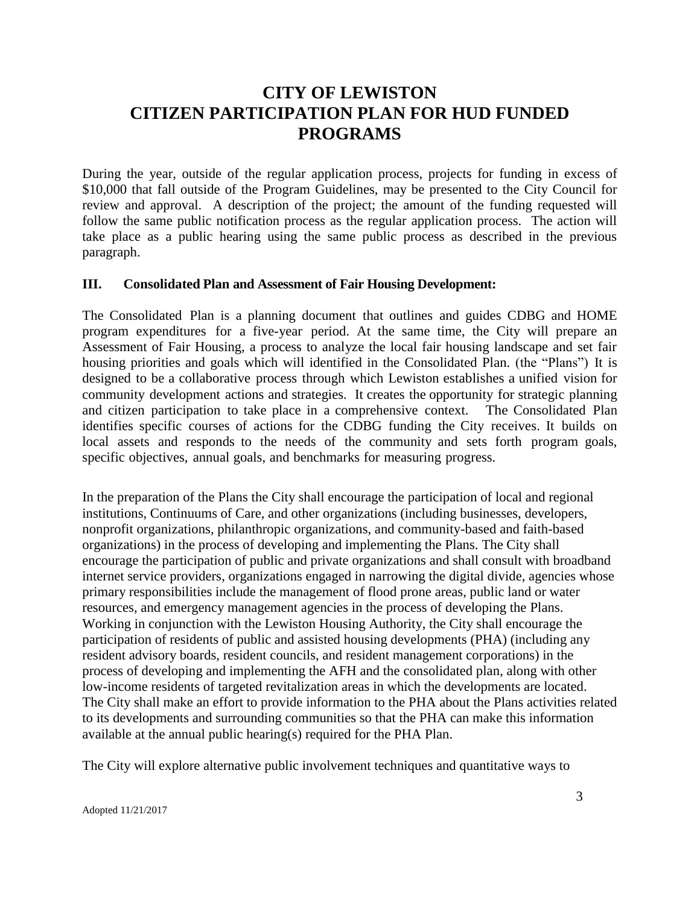During the year, outside of the regular application process, projects for funding in excess of \$10,000 that fall outside of the Program Guidelines, may be presented to the City Council for review and approval. A description of the project; the amount of the funding requested will follow the same public notification process as the regular application process. The action will take place as a public hearing using the same public process as described in the previous paragraph.

#### **III. Consolidated Plan and Assessment of Fair Housing Development:**

The Consolidated Plan is a planning document that outlines and guides CDBG and HOME program expenditures for a five-year period. At the same time, the City will prepare an Assessment of Fair Housing, a process to analyze the local fair housing landscape and set fair housing priorities and goals which will identified in the Consolidated Plan. (the "Plans") It is designed to be a collaborative process through which Lewiston establishes a unified vision for community development actions and strategies. It creates the opportunity for strategic planning and citizen participation to take place in a comprehensive context. The Consolidated Plan identifies specific courses of actions for the CDBG funding the City receives. It builds on local assets and responds to the needs of the community and sets forth program goals, specific objectives, annual goals, and benchmarks for measuring progress.

In the preparation of the Plans the City shall encourage the participation of local and regional institutions, Continuums of Care, and other organizations (including businesses, developers, nonprofit organizations, philanthropic organizations, and community-based and faith-based organizations) in the process of developing and implementing the Plans. The City shall encourage the participation of public and private organizations and shall consult with broadband internet service providers, organizations engaged in narrowing the digital divide, agencies whose primary responsibilities include the management of flood prone areas, public land or water resources, and emergency management agencies in the process of developing the Plans. Working in conjunction with the Lewiston Housing Authority, the City shall encourage the participation of residents of public and assisted housing developments (PHA) (including any resident advisory boards, resident councils, and resident management corporations) in the process of developing and implementing the AFH and the consolidated plan, along with other low-income residents of targeted revitalization areas in which the developments are located. The City shall make an effort to provide information to the PHA about the Plans activities related to its developments and surrounding communities so that the PHA can make this information available at the annual public hearing(s) required for the PHA Plan.

The City will explore alternative public involvement techniques and quantitative ways to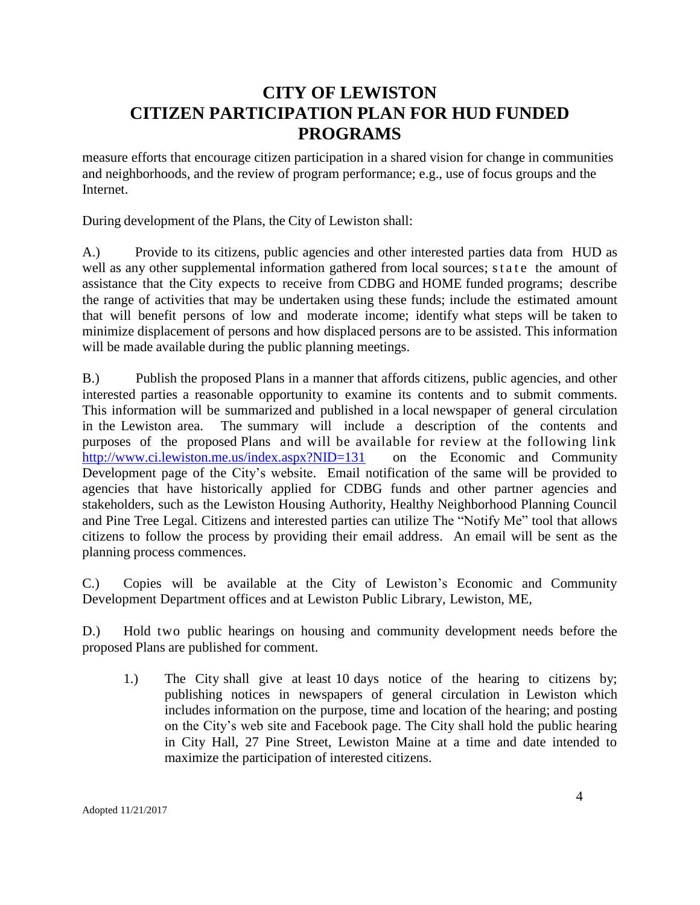measure efforts that encourage citizen participation in a shared vision for change in communities and neighborhoods, and the review of program performance; e.g., use of focus groups and the Internet.

During development of the Plans, the City of Lewiston shall:

A.) Provide to its citizens, public agencies and other interested parties data from HUD as well as any other supplemental information gathered from local sources; state the amount of assistance that the City expects to receive from CDBG and HOME funded programs; describe the range of activities that may be undertaken using these funds; include the estimated amount that will benefit persons of low and moderate income; identify what steps will be taken to minimize displacement of persons and how displaced persons are to be assisted. This information will be made available during the public planning meetings.

B.) Publish the proposed Plans in a manner that affords citizens, public agencies, and other interested parties a reasonable opportunity to examine its contents and to submit comments. This information will be summarized and published in a local newspaper of general circulation in the Lewiston area. The summary will include a description of the contents and purposes of the proposed Plans and will be available for review at the following link <http://www.ci.lewiston.me.us/index.aspx?NID=131> on the Economic and Community Development page of the City's website. Email notification of the same will be provided to agencies that have historically applied for CDBG funds and other partner agencies and stakeholders, such as the Lewiston Housing Authority, Healthy Neighborhood Planning Council and Pine Tree Legal. Citizens and interested parties can utilize The "Notify Me" tool that allows citizens to follow the process by providing their email address. An email will be sent as the planning process commences.

C.) Copies will be available at the City of Lewiston's Economic and Community Development Department offices and at Lewiston Public Library, Lewiston, ME,

D.) Hold two public hearings on housing and community development needs before the proposed Plans are published for comment.

1.) The City shall give at least 10 days notice of the hearing to citizens by; publishing notices in newspapers of general circulation in Lewiston which includes information on the purpose, time and location of the hearing; and posting on the City's web site and Facebook page. The City shall hold the public hearing in City Hall, 27 Pine Street, Lewiston Maine at a time and date intended to maximize the participation of interested citizens.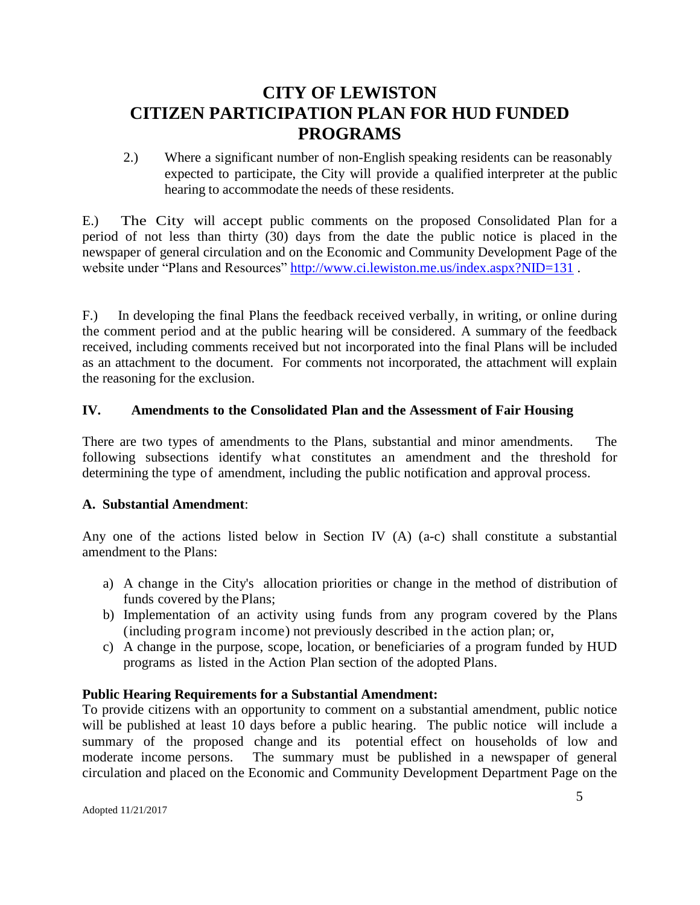2.) Where a significant number of non-English speaking residents can be reasonably expected to participate, the City will provide a qualified interpreter at the public hearing to accommodate the needs of these residents.

E.) The City will accept public comments on the proposed Consolidated Plan for a period of not less than thirty (30) days from the date the public notice is placed in the newspaper of general circulation and on the Economic and Community Development Page of the website under "Plans and Resources"<http://www.ci.lewiston.me.us/index.aspx?NID=131>.

F.) In developing the final Plans the feedback received verbally, in writing, or online during the comment period and at the public hearing will be considered. A summary of the feedback received, including comments received but not incorporated into the final Plans will be included as an attachment to the document. For comments not incorporated, the attachment will explain the reasoning for the exclusion.

### **IV. Amendments to the Consolidated Plan and the Assessment of Fair Housing**

There are two types of amendments to the Plans, substantial and minor amendments. The following subsections identify what constitutes an amendment and the threshold for determining the type of amendment, including the public notification and approval process.

#### **A. Substantial Amendment**:

Any one of the actions listed below in Section IV (A) (a-c) shall constitute a substantial amendment to the Plans:

- a) A change in the City's allocation priorities or change in the method of distribution of funds covered by the Plans;
- b) Implementation of an activity using funds from any program covered by the Plans (including program income) not previously described in the action plan; or,
- c) A change in the purpose, scope, location, or beneficiaries of a program funded by HUD programs as listed in the Action Plan section of the adopted Plans.

#### **Public Hearing Requirements for a Substantial Amendment:**

To provide citizens with an opportunity to comment on a substantial amendment, public notice will be published at least 10 days before a public hearing. The public notice will include a summary of the proposed change and its potential effect on households of low and moderate income persons. The summary must be published in a newspaper of general circulation and placed on the Economic and Community Development Department Page on the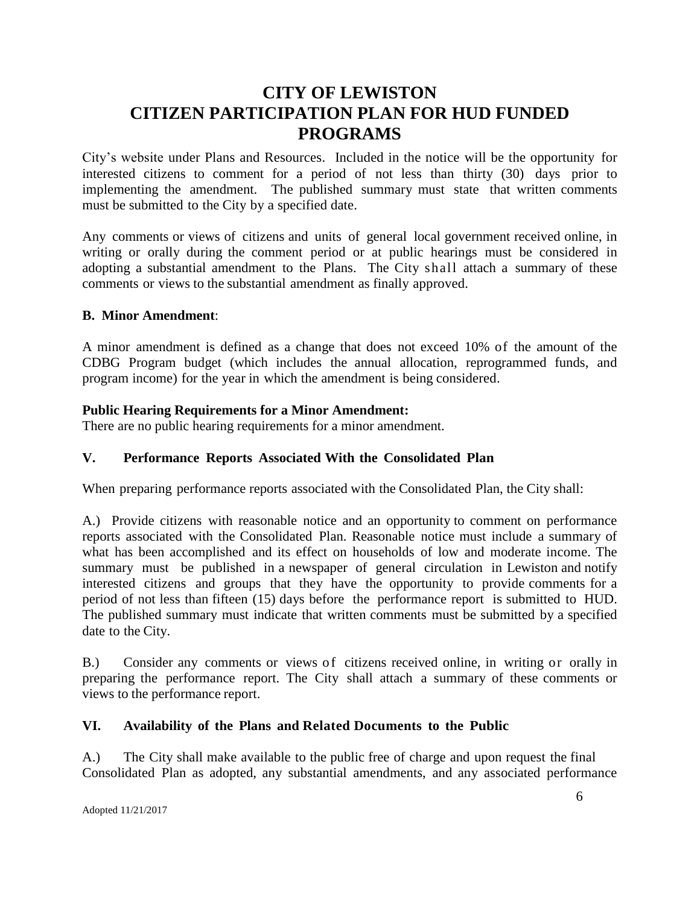City's website under Plans and Resources. Included in the notice will be the opportunity for interested citizens to comment for a period of not less than thirty (30) days prior to implementing the amendment. The published summary must state that written comments must be submitted to the City by a specified date.

Any comments or views of citizens and units of general local government received online, in writing or orally during the comment period or at public hearings must be considered in adopting a substantial amendment to the Plans. The City shall attach a summary of these comments or views to the substantial amendment as finally approved.

#### **B. Minor Amendment**:

A minor amendment is defined as a change that does not exceed 10% of the amount of the CDBG Program budget (which includes the annual allocation, reprogrammed funds, and program income) for the year in which the amendment is being considered.

### **Public Hearing Requirements for a Minor Amendment:**

There are no public hearing requirements for a minor amendment.

### **V. Performance Reports Associated With the Consolidated Plan**

When preparing performance reports associated with the Consolidated Plan, the City shall:

A.) Provide citizens with reasonable notice and an opportunity to comment on performance reports associated with the Consolidated Plan. Reasonable notice must include a summary of what has been accomplished and its effect on households of low and moderate income. The summary must be published in a newspaper of general circulation in Lewiston and notify interested citizens and groups that they have the opportunity to provide comments for a period of not less than fifteen (15) days before the performance report is submitted to HUD. The published summary must indicate that written comments must be submitted by a specified date to the City.

B.) Consider any comments or views of citizens received online, in writing or orally in preparing the performance report. The City shall attach a summary of these comments or views to the performance report.

### **VI. Availability of the Plans and Related Documents to the Public**

A.) The City shall make available to the public free of charge and upon request the final Consolidated Plan as adopted, any substantial amendments, and any associated performance